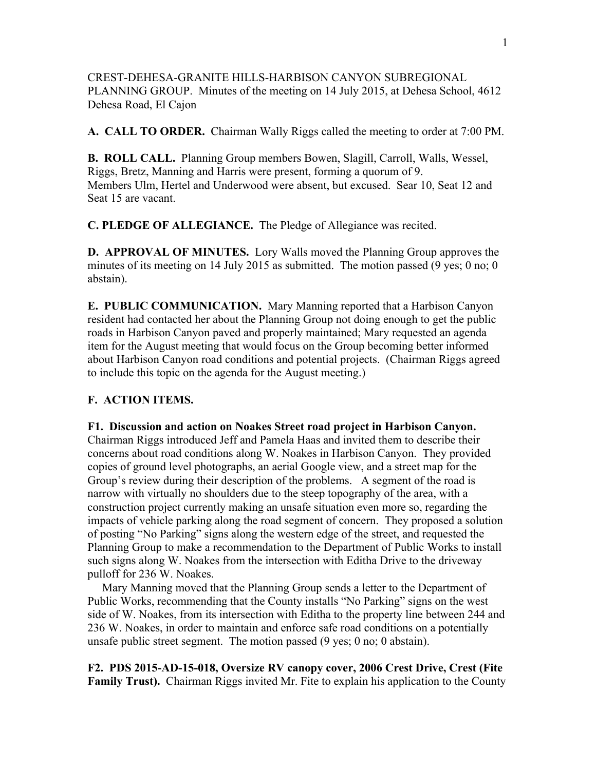CREST-DEHESA-GRANITE HILLS-HARBISON CANYON SUBREGIONAL PLANNING GROUP. Minutes of the meeting on 14 July 2015, at Dehesa School, 4612 Dehesa Road, El Cajon

**A. CALL TO ORDER.** Chairman Wally Riggs called the meeting to order at 7:00 PM.

**B. ROLL CALL.** Planning Group members Bowen, Slagill, Carroll, Walls, Wessel, Riggs, Bretz, Manning and Harris were present, forming a quorum of 9. Members Ulm, Hertel and Underwood were absent, but excused. Sear 10, Seat 12 and Seat 15 are vacant.

**C. PLEDGE OF ALLEGIANCE.** The Pledge of Allegiance was recited.

**D. APPROVAL OF MINUTES.** Lory Walls moved the Planning Group approves the minutes of its meeting on 14 July 2015 as submitted. The motion passed (9 yes; 0 no; 0 abstain).

**E. PUBLIC COMMUNICATION.** Mary Manning reported that a Harbison Canyon resident had contacted her about the Planning Group not doing enough to get the public roads in Harbison Canyon paved and properly maintained; Mary requested an agenda item for the August meeting that would focus on the Group becoming better informed about Harbison Canyon road conditions and potential projects. (Chairman Riggs agreed to include this topic on the agenda for the August meeting.)

## **F. ACTION ITEMS.**

## **F1. Discussion and action on Noakes Street road project in Harbison Canyon.**

Chairman Riggs introduced Jeff and Pamela Haas and invited them to describe their concerns about road conditions along W. Noakes in Harbison Canyon. They provided copies of ground level photographs, an aerial Google view, and a street map for the Group's review during their description of the problems. A segment of the road is narrow with virtually no shoulders due to the steep topography of the area, with a construction project currently making an unsafe situation even more so, regarding the impacts of vehicle parking along the road segment of concern. They proposed a solution of posting "No Parking" signs along the western edge of the street, and requested the Planning Group to make a recommendation to the Department of Public Works to install such signs along W. Noakes from the intersection with Editha Drive to the driveway pulloff for 236 W. Noakes.

 Mary Manning moved that the Planning Group sends a letter to the Department of Public Works, recommending that the County installs "No Parking" signs on the west side of W. Noakes, from its intersection with Editha to the property line between 244 and 236 W. Noakes, in order to maintain and enforce safe road conditions on a potentially unsafe public street segment. The motion passed (9 yes; 0 no; 0 abstain).

**F2. PDS 2015-AD-15-018, Oversize RV canopy cover, 2006 Crest Drive, Crest (Fite Family Trust).** Chairman Riggs invited Mr. Fite to explain his application to the County